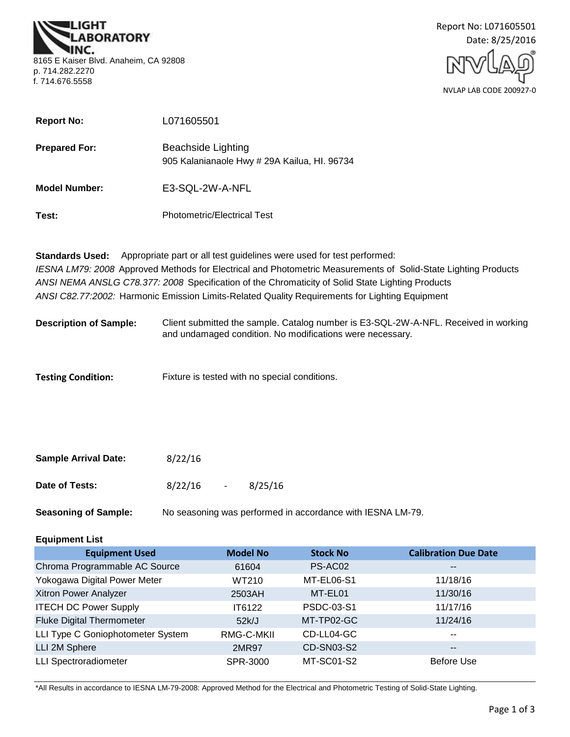**BORATORY** 8165 E Kaiser Blvd. Anaheim, CA 92808 p. 714.282.2270 f. 714.676.5558



| <b>Report No:</b>    | L071605501                                                         |
|----------------------|--------------------------------------------------------------------|
| <b>Prepared For:</b> | Beachside Lighting<br>905 Kalanianaole Hwy # 29A Kailua, Hl. 96734 |
| <b>Model Number:</b> | E3-SQL-2W-A-NFL                                                    |
| Test:                | <b>Photometric/Electrical Test</b>                                 |

**Standards Used:** Appropriate part or all test guidelines were used for test performed: *IESNA LM79: 2008* Approved Methods for Electrical and Photometric Measurements of Solid-State Lighting Products *ANSI NEMA ANSLG C78.377: 2008* Specification of the Chromaticity of Solid State Lighting Products *ANSI C82.77:2002:* Harmonic Emission Limits-Related Quality Requirements for Lighting Equipment

**Description of Sample:** Client submitted the sample. Catalog number is E3-SQL-2W-A-NFL. Received in working and undamaged condition. No modifications were necessary.

Fixture is tested with no special conditions. **Testing Condition:**

| <b>Sample Arrival Date:</b> | 8/22/16 |        |         |
|-----------------------------|---------|--------|---------|
| Date of Tests:              | 8/22/16 | $\sim$ | 8/25/16 |

**Seasoning of Sample:** No seasoning was performed in accordance with IESNA LM-79.

### **Equipment List**

| <b>Equipment Used</b>             | <b>Model No</b> | <b>Stock No</b> | <b>Calibration Due Date</b> |
|-----------------------------------|-----------------|-----------------|-----------------------------|
| Chroma Programmable AC Source     | 61604           | PS-AC02         | $\overline{\phantom{m}}$    |
| Yokogawa Digital Power Meter      | WT210           | MT-EL06-S1      | 11/18/16                    |
| Xitron Power Analyzer             | 2503AH          | MT-EL01         | 11/30/16                    |
| <b>ITECH DC Power Supply</b>      | IT6122          | PSDC-03-S1      | 11/17/16                    |
| <b>Fluke Digital Thermometer</b>  | 52k/J           | MT-TP02-GC      | 11/24/16                    |
| LLI Type C Goniophotometer System | RMG-C-MKII      | CD-LL04-GC      | $\sim$ $\sim$               |
| LLI 2M Sphere                     | 2MR97           | CD-SN03-S2      | $- -$                       |
| <b>LLI Spectroradiometer</b>      | SPR-3000        | MT-SC01-S2      | <b>Before Use</b>           |

\*All Results in accordance to IESNA LM-79-2008: Approved Method for the Electrical and Photometric Testing of Solid-State Lighting.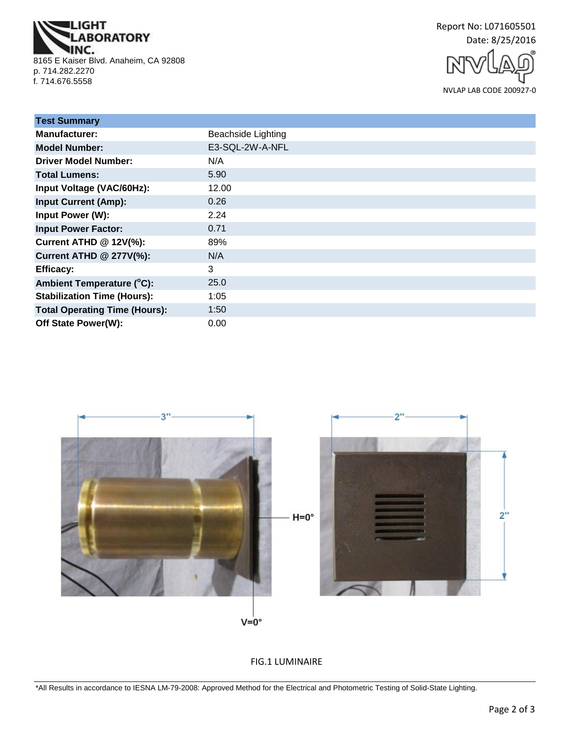**IGHT ABORATORY** INC. 8165 E Kaiser Blvd. Anaheim, CA 92808 p. 714.282.2270 f. 714.676.5558

Report No: L071605501 Date: 8/25/2016

NVLAP LAB CODE 200927-0

| <b>Test Summary</b>                  |                           |
|--------------------------------------|---------------------------|
| <b>Manufacturer:</b>                 | <b>Beachside Lighting</b> |
| <b>Model Number:</b>                 | E3-SQL-2W-A-NFL           |
| <b>Driver Model Number:</b>          | N/A                       |
| <b>Total Lumens:</b>                 | 5.90                      |
| Input Voltage (VAC/60Hz):            | 12.00                     |
| <b>Input Current (Amp):</b>          | 0.26                      |
| Input Power (W):                     | 2.24                      |
| <b>Input Power Factor:</b>           | 0.71                      |
| Current ATHD @ 12V(%):               | 89%                       |
| <b>Current ATHD @ 277V(%):</b>       | N/A                       |
| <b>Efficacy:</b>                     | 3                         |
| Ambient Temperature (°C):            | 25.0                      |
| <b>Stabilization Time (Hours):</b>   | 1:05                      |
| <b>Total Operating Time (Hours):</b> | 1:50                      |
| Off State Power(W):                  | 0.00                      |



FIG.1 LUMINAIRE

\*All Results in accordance to IESNA LM-79-2008: Approved Method for the Electrical and Photometric Testing of Solid-State Lighting.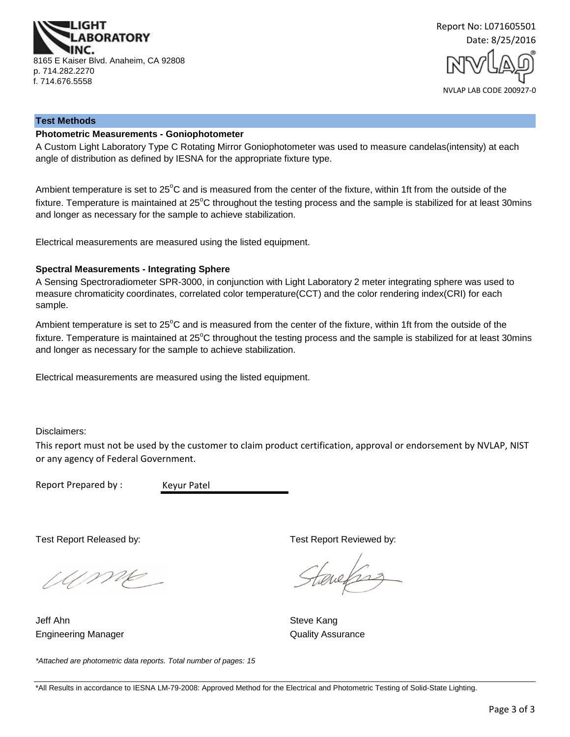

Report No: L071605501 Date: 8/25/2016

#### NVLAP LAB CODE 200927-0

#### **Test Methods**

### **Photometric Measurements - Goniophotometer**

A Custom Light Laboratory Type C Rotating Mirror Goniophotometer was used to measure candelas(intensity) at each angle of distribution as defined by IESNA for the appropriate fixture type.

Ambient temperature is set to 25°C and is measured from the center of the fixture, within 1ft from the outside of the fixture. Temperature is maintained at  $25^{\circ}$ C throughout the testing process and the sample is stabilized for at least 30mins and longer as necessary for the sample to achieve stabilization.

Electrical measurements are measured using the listed equipment.

#### **Spectral Measurements - Integrating Sphere**

A Sensing Spectroradiometer SPR-3000, in conjunction with Light Laboratory 2 meter integrating sphere was used to measure chromaticity coordinates, correlated color temperature(CCT) and the color rendering index(CRI) for each sample.

Ambient temperature is set to 25°C and is measured from the center of the fixture, within 1ft from the outside of the fixture. Temperature is maintained at  $25^{\circ}$ C throughout the testing process and the sample is stabilized for at least 30mins and longer as necessary for the sample to achieve stabilization.

Electrical measurements are measured using the listed equipment.

Disclaimers:

This report must not be used by the customer to claim product certification, approval or endorsement by NVLAP, NIST or any agency of Federal Government.

Report Prepared by :

Keyur Patel

Wme

Engineering Manager **Contract Contract Contract Contract Contract Contract Contract Contract Contract Contract Contract Contract Contract Contract Contract Contract Contract Contract Contract Contract Contract Contract Con** Jeff Ahn Steve Kang

Test Report Released by: Test Report Reviewed by:

Tereforz

*\*Attached are photometric data reports. Total number of pages: 15*

<sup>\*</sup>All Results in accordance to IESNA LM-79-2008: Approved Method for the Electrical and Photometric Testing of Solid-State Lighting.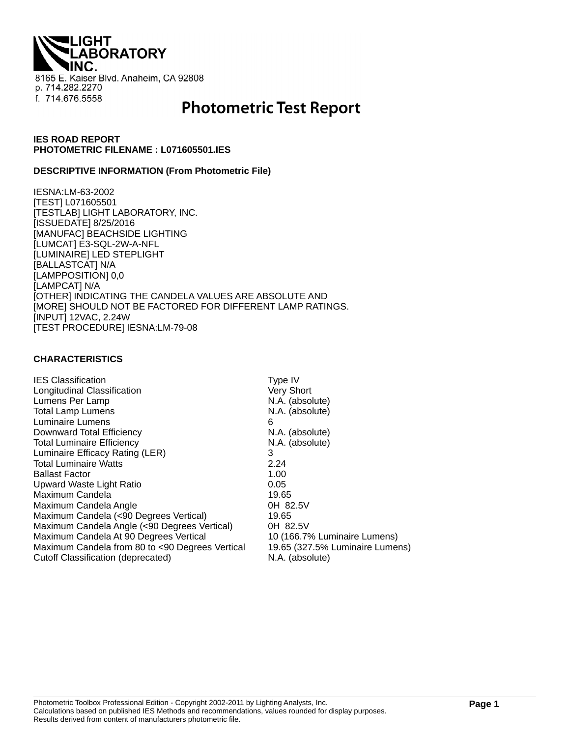LIGHT<br>LABORATORY 8165 E. Kaiser Blvd. Anaheim, CA 92808 p. 714.282.2270 f. 714.676.5558

# **Photometric Test Report**

### **IES ROAD REPORT PHOTOMETRIC FILENAME : L071605501.IES**

#### **DESCRIPTIVE INFORMATION (From Photometric File)**

IESNA:LM-63-2002 [TEST] L071605501 [TESTLAB] LIGHT LABORATORY, INC. [ISSUEDATE] 8/25/2016 [MANUFAC] BEACHSIDE LIGHTING [LUMCAT] E3-SQL-2W-A-NFL [LUMINAIRE] LED STEPLIGHT [BALLASTCAT] N/A [LAMPPOSITION] 0,0 [LAMPCAT] N/A [OTHER] INDICATING THE CANDELA VALUES ARE ABSOLUTE AND [MORE] SHOULD NOT BE FACTORED FOR DIFFERENT LAMP RATINGS. [INPUT] 12VAC, 2.24W [TEST PROCEDURE] IESNA:LM-79-08

### **CHARACTERISTICS**

| <b>IES Classification</b>                       | Type IV                         |
|-------------------------------------------------|---------------------------------|
| Longitudinal Classification                     | Very Short                      |
| Lumens Per Lamp                                 | N.A. (absolute)                 |
| <b>Total Lamp Lumens</b>                        | N.A. (absolute)                 |
| Luminaire Lumens                                | 6                               |
| Downward Total Efficiency                       | N.A. (absolute)                 |
| <b>Total Luminaire Efficiency</b>               | N.A. (absolute)                 |
| Luminaire Efficacy Rating (LER)                 | 3                               |
| <b>Total Luminaire Watts</b>                    | 2.24                            |
| <b>Ballast Factor</b>                           | 1.00                            |
| Upward Waste Light Ratio                        | 0.05                            |
| Maximum Candela                                 | 19.65                           |
| Maximum Candela Angle                           | 0H 82.5V                        |
| Maximum Candela (<90 Degrees Vertical)          | 19.65                           |
| Maximum Candela Angle (<90 Degrees Vertical)    | 0H 82.5V                        |
| Maximum Candela At 90 Degrees Vertical          | 10 (166.7% Luminaire Lumens)    |
| Maximum Candela from 80 to <90 Degrees Vertical | 19.65 (327.5% Luminaire Lumens) |
| Cutoff Classification (deprecated)              | N.A. (absolute)                 |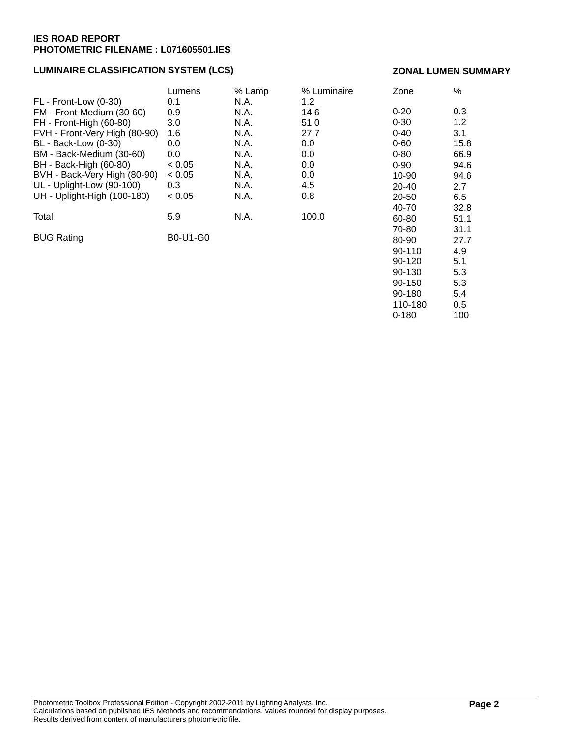### **LUMINAIRE CLASSIFICATION SYSTEM (LCS)**

#### **ZONAL LUMEN SUMMARY**

90-150 5.3 90-180 5.4 110-180 0.5 0-180 100

|                               | Lumens   | % Lamp | % Luminaire | Zone       | %    |
|-------------------------------|----------|--------|-------------|------------|------|
| FL - Front-Low (0-30)         | 0.1      | N.A.   | 1.2         |            |      |
| FM - Front-Medium (30-60)     | 0.9      | N.A.   | 14.6        | $0 - 20$   | 0.3  |
| FH - Front-High (60-80)       | 3.0      | N.A.   | 51.0        | $0 - 30$   | 1.2  |
| FVH - Front-Very High (80-90) | 1.6      | N.A.   | 27.7        | $0 - 40$   | 3.1  |
| <b>BL</b> - Back-Low (0-30)   | 0.0      | N.A.   | 0.0         | $0 - 60$   | 15.8 |
| BM - Back-Medium (30-60)      | 0.0      | N.A.   | 0.0         | $0 - 80$   | 66.9 |
| BH - Back-High (60-80)        | < 0.05   | N.A.   | 0.0         | $0 - 90$   | 94.6 |
| BVH - Back-Very High (80-90)  | < 0.05   | N.A.   | 0.0         | $10 - 90$  | 94.6 |
| UL - Uplight-Low (90-100)     | 0.3      | N.A.   | 4.5         | $20 - 40$  | 2.7  |
| UH - Uplight-High (100-180)   | < 0.05   | N.A.   | 0.8         | 20-50      | 6.5  |
|                               |          |        |             | 40-70      | 32.8 |
| Total                         | 5.9      | N.A.   | 100.0       | 60-80      | 51.1 |
|                               |          |        |             | 70-80      | 31.1 |
| <b>BUG Rating</b>             | B0-U1-G0 |        |             | 80-90      | 27.7 |
|                               |          |        |             | 90-110     | 4.9  |
|                               |          |        |             | $90 - 120$ | 5.1  |
|                               |          |        |             | 90-130     | 5.3  |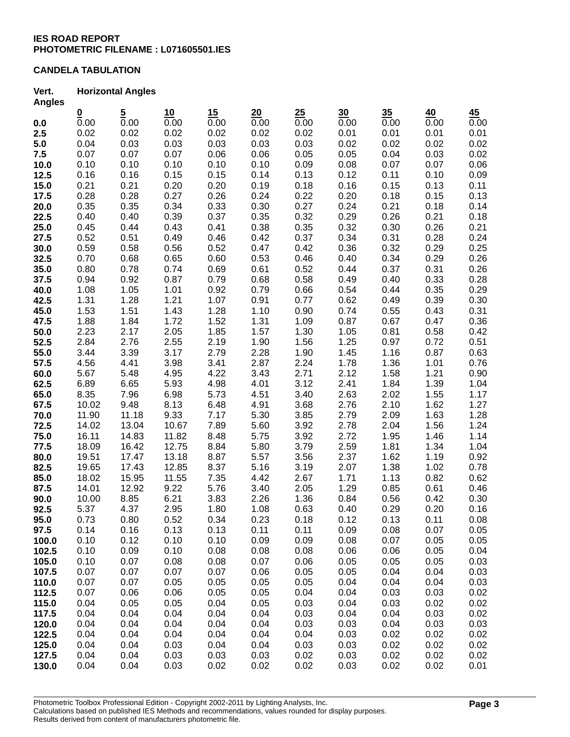### **CANDELA TABULATION**

#### **Vert. Horizontal Angles Angles**

| Angies |                          |                  |       |      |      |      |      |      |      |      |
|--------|--------------------------|------------------|-------|------|------|------|------|------|------|------|
|        | $\underline{\mathbf{0}}$ | $\frac{5}{0.00}$ | 10    | 15   | 20   | 25   | 30   | 35   | 40   | 45   |
| 0.0    | 0.00                     |                  | 0.00  | 0.00 | 0.00 | 0.00 | 0.00 | 0.00 | 0.00 | 0.00 |
| 2.5    | 0.02                     | 0.02             | 0.02  | 0.02 | 0.02 | 0.02 | 0.01 | 0.01 | 0.01 | 0.01 |
| 5.0    | 0.04                     | 0.03             | 0.03  | 0.03 | 0.03 | 0.03 | 0.02 | 0.02 | 0.02 | 0.02 |
| 7.5    | 0.07                     | 0.07             | 0.07  | 0.06 | 0.06 | 0.05 | 0.05 | 0.04 | 0.03 | 0.02 |
| 10.0   | 0.10                     | 0.10             | 0.10  | 0.10 | 0.10 | 0.09 | 0.08 | 0.07 | 0.07 | 0.06 |
| 12.5   | 0.16                     | 0.16             | 0.15  | 0.15 | 0.14 | 0.13 | 0.12 | 0.11 | 0.10 | 0.09 |
| 15.0   | 0.21                     | 0.21             | 0.20  | 0.20 | 0.19 | 0.18 | 0.16 | 0.15 | 0.13 | 0.11 |
| 17.5   | 0.28                     | 0.28             | 0.27  | 0.26 | 0.24 | 0.22 | 0.20 | 0.18 | 0.15 | 0.13 |
| 20.0   | 0.35                     | 0.35             | 0.34  | 0.33 | 0.30 | 0.27 | 0.24 | 0.21 | 0.18 | 0.14 |
| 22.5   | 0.40                     | 0.40             | 0.39  | 0.37 | 0.35 | 0.32 | 0.29 | 0.26 | 0.21 | 0.18 |
| 25.0   | 0.45                     | 0.44             | 0.43  | 0.41 | 0.38 | 0.35 | 0.32 | 0.30 | 0.26 | 0.21 |
| 27.5   | 0.52                     | 0.51             | 0.49  | 0.46 | 0.42 | 0.37 | 0.34 | 0.31 | 0.28 | 0.24 |
| 30.0   | 0.59                     | 0.58             | 0.56  | 0.52 | 0.47 | 0.42 | 0.36 | 0.32 | 0.29 | 0.25 |
| 32.5   | 0.70                     | 0.68             | 0.65  | 0.60 | 0.53 | 0.46 | 0.40 | 0.34 | 0.29 | 0.26 |
| 35.0   | 0.80                     | 0.78             | 0.74  | 0.69 | 0.61 | 0.52 | 0.44 | 0.37 | 0.31 | 0.26 |
| 37.5   | 0.94                     | 0.92             | 0.87  | 0.79 | 0.68 | 0.58 | 0.49 | 0.40 | 0.33 | 0.28 |
| 40.0   | 1.08                     | 1.05             | 1.01  | 0.92 | 0.79 | 0.66 | 0.54 | 0.44 | 0.35 | 0.29 |
| 42.5   | 1.31                     | 1.28             | 1.21  | 1.07 | 0.91 | 0.77 | 0.62 | 0.49 | 0.39 | 0.30 |
| 45.0   | 1.53                     | 1.51             | 1.43  | 1.28 | 1.10 | 0.90 | 0.74 | 0.55 | 0.43 | 0.31 |
| 47.5   | 1.88                     | 1.84             | 1.72  | 1.52 | 1.31 | 1.09 | 0.87 | 0.67 | 0.47 | 0.36 |
| 50.0   | 2.23                     | 2.17             | 2.05  | 1.85 | 1.57 | 1.30 | 1.05 | 0.81 | 0.58 | 0.42 |
| 52.5   | 2.84                     | 2.76             | 2.55  | 2.19 | 1.90 | 1.56 | 1.25 | 0.97 | 0.72 | 0.51 |
| 55.0   | 3.44                     | 3.39             | 3.17  | 2.79 | 2.28 | 1.90 | 1.45 | 1.16 | 0.87 | 0.63 |
| 57.5   | 4.56                     | 4.41             | 3.98  | 3.41 | 2.87 | 2.24 | 1.78 | 1.36 | 1.01 | 0.76 |
| 60.0   | 5.67                     | 5.48             | 4.95  | 4.22 | 3.43 | 2.71 | 2.12 | 1.58 | 1.21 | 0.90 |
| 62.5   | 6.89                     | 6.65             | 5.93  | 4.98 | 4.01 | 3.12 | 2.41 | 1.84 | 1.39 | 1.04 |
| 65.0   | 8.35                     | 7.96             | 6.98  | 5.73 | 4.51 | 3.40 | 2.63 | 2.02 | 1.55 | 1.17 |
| 67.5   | 10.02                    | 9.48             | 8.13  | 6.48 | 4.91 | 3.68 | 2.76 | 2.10 | 1.62 | 1.27 |
| 70.0   | 11.90                    | 11.18            | 9.33  | 7.17 | 5.30 | 3.85 | 2.79 | 2.09 | 1.63 | 1.28 |
| 72.5   | 14.02                    | 13.04            | 10.67 | 7.89 | 5.60 | 3.92 | 2.78 | 2.04 | 1.56 | 1.24 |
| 75.0   | 16.11                    | 14.83            | 11.82 | 8.48 | 5.75 | 3.92 | 2.72 | 1.95 | 1.46 | 1.14 |
| 77.5   | 18.09                    | 16.42            | 12.75 | 8.84 | 5.80 | 3.79 | 2.59 | 1.81 | 1.34 | 1.04 |
| 80.0   | 19.51                    | 17.47            | 13.18 | 8.87 | 5.57 | 3.56 | 2.37 | 1.62 | 1.19 | 0.92 |
| 82.5   | 19.65                    | 17.43            | 12.85 | 8.37 | 5.16 | 3.19 | 2.07 | 1.38 | 1.02 | 0.78 |
| 85.0   | 18.02                    | 15.95            | 11.55 | 7.35 | 4.42 | 2.67 | 1.71 | 1.13 | 0.82 | 0.62 |
| 87.5   | 14.01                    | 12.92            | 9.22  | 5.76 | 3.40 | 2.05 | 1.29 | 0.85 | 0.61 | 0.46 |
| 90.0   | 10.00                    | 8.85             | 6.21  | 3.83 | 2.26 | 1.36 | 0.84 | 0.56 | 0.42 | 0.30 |
| 92.5   | 5.37                     | 4.37             | 2.95  | 1.80 | 1.08 | 0.63 | 0.40 | 0.29 | 0.20 | 0.16 |
| 95.0   | 0.73                     | 0.80             | 0.52  | 0.34 | 0.23 | 0.18 | 0.12 | 0.13 | 0.11 | 0.08 |
| 97.5   | 0.14                     | 0.16             | 0.13  | 0.13 | 0.11 | 0.11 | 0.09 | 0.08 | 0.07 | 0.05 |
| 100.0  | 0.10                     | 0.12             | 0.10  | 0.10 | 0.09 | 0.09 | 0.08 | 0.07 | 0.05 | 0.05 |
|        | 0.10                     | 0.09             | 0.10  | 0.08 | 0.08 | 0.08 | 0.06 | 0.06 | 0.05 | 0.04 |
| 102.5  | 0.10                     | 0.07             | 0.08  | 0.08 | 0.07 | 0.06 |      | 0.05 |      |      |
| 105.0  |                          |                  |       | 0.07 |      |      | 0.05 | 0.04 | 0.05 | 0.03 |
| 107.5  | 0.07                     | 0.07             | 0.07  | 0.05 | 0.06 | 0.05 | 0.05 |      | 0.04 | 0.03 |
| 110.0  | 0.07                     | 0.07             | 0.05  |      | 0.05 | 0.05 | 0.04 | 0.04 | 0.04 | 0.03 |
| 112.5  | 0.07                     | 0.06             | 0.06  | 0.05 | 0.05 | 0.04 | 0.04 | 0.03 | 0.03 | 0.02 |
| 115.0  | 0.04                     | 0.05             | 0.05  | 0.04 | 0.05 | 0.03 | 0.04 | 0.03 | 0.02 | 0.02 |
| 117.5  | 0.04                     | 0.04             | 0.04  | 0.04 | 0.04 | 0.03 | 0.04 | 0.04 | 0.03 | 0.02 |
| 120.0  | 0.04                     | 0.04             | 0.04  | 0.04 | 0.04 | 0.03 | 0.03 | 0.04 | 0.03 | 0.03 |
| 122.5  | 0.04                     | 0.04             | 0.04  | 0.04 | 0.04 | 0.04 | 0.03 | 0.02 | 0.02 | 0.02 |
| 125.0  | 0.04                     | 0.04             | 0.03  | 0.04 | 0.04 | 0.03 | 0.03 | 0.02 | 0.02 | 0.02 |
| 127.5  | 0.04                     | 0.04             | 0.03  | 0.03 | 0.03 | 0.02 | 0.03 | 0.02 | 0.02 | 0.02 |
| 130.0  | 0.04                     | 0.04             | 0.03  | 0.02 | 0.02 | 0.02 | 0.03 | 0.02 | 0.02 | 0.01 |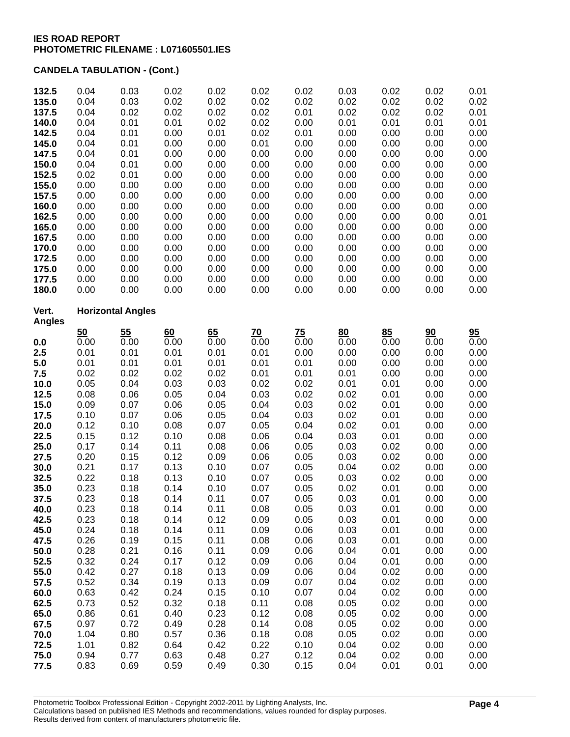| 132.5          | 0.04                     | 0.03         | 0.02         | 0.02         | 0.02         | 0.02         | 0.03         | 0.02         | 0.02         | 0.01              |
|----------------|--------------------------|--------------|--------------|--------------|--------------|--------------|--------------|--------------|--------------|-------------------|
| 135.0          | 0.04                     | 0.03         | 0.02         | 0.02         | 0.02         | 0.02         | 0.02         | 0.02         | 0.02         | 0.02              |
| 137.5          | 0.04                     | 0.02         | 0.02         | 0.02         | 0.02         | 0.01         | 0.02         | 0.02         | 0.02         | 0.01              |
| 140.0          | 0.04                     | 0.01         | 0.01         | 0.02         | 0.02         | 0.00         | 0.01         | 0.01         | 0.01         | 0.01              |
| 142.5          | 0.04                     | 0.01         | 0.00         | 0.01         | 0.02         | 0.01         | 0.00         | 0.00         | 0.00         | 0.00              |
| 145.0          | 0.04                     | 0.01         | 0.00         | 0.00         | 0.01         | 0.00         | 0.00         | 0.00         | 0.00         | 0.00              |
| 147.5<br>150.0 | 0.04<br>0.04             | 0.01<br>0.01 | 0.00<br>0.00 | 0.00<br>0.00 | 0.00<br>0.00 | 0.00<br>0.00 | 0.00<br>0.00 | 0.00<br>0.00 | 0.00<br>0.00 | 0.00<br>0.00      |
| 152.5          | 0.02                     | 0.01         | 0.00         | 0.00         | 0.00         | 0.00         | 0.00         | 0.00         | 0.00         | 0.00              |
| 155.0          | 0.00                     | 0.00         | 0.00         | 0.00         | 0.00         | 0.00         | 0.00         | 0.00         | 0.00         | 0.00              |
| 157.5          | 0.00                     | 0.00         | 0.00         | 0.00         | 0.00         | 0.00         | 0.00         | 0.00         | 0.00         | 0.00              |
| 160.0          | 0.00                     | 0.00         | 0.00         | 0.00         | 0.00         | 0.00         | 0.00         | 0.00         | 0.00         | 0.00              |
| 162.5          | 0.00                     | 0.00         | 0.00         | 0.00         | 0.00         | 0.00         | 0.00         | 0.00         | 0.00         | 0.01              |
| 165.0          | 0.00                     | 0.00         | 0.00         | 0.00         | 0.00         | 0.00         | 0.00         | 0.00         | 0.00         | 0.00              |
| 167.5          | 0.00                     | 0.00         | 0.00         | 0.00         | 0.00         | 0.00         | 0.00         | 0.00         | 0.00         | 0.00              |
| 170.0          | 0.00                     | 0.00         | 0.00         | 0.00         | 0.00         | 0.00         | 0.00         | 0.00         | 0.00         | 0.00              |
| 172.5          | 0.00                     | 0.00         | 0.00         | 0.00         | 0.00         | 0.00         | 0.00         | 0.00         | 0.00         | 0.00              |
| 175.0          | 0.00                     | 0.00         | 0.00         | 0.00         | 0.00         | 0.00         | 0.00         | 0.00         | 0.00         | 0.00              |
| 177.5          | 0.00                     | 0.00         | 0.00         | 0.00         | 0.00         | 0.00         | 0.00         | 0.00         | 0.00         | 0.00              |
| 180.0          | 0.00                     | 0.00         | 0.00         | 0.00         | 0.00         | 0.00         | 0.00         | 0.00         | 0.00         | 0.00              |
| Vert.          | <b>Horizontal Angles</b> |              |              |              |              |              |              |              |              |                   |
| <b>Angles</b>  | 50                       | 55           | 60           | 65           | 70           | 75           | 80           | 85           | 90           | 95                |
| 0.0            | 0.00                     | 0.00         | 0.00         | 0.00         | 0.00         | 0.00         | 0.00         | 0.00         | 0.00         | $\overline{0.00}$ |
| 2.5            | 0.01                     | 0.01         | 0.01         | 0.01         | 0.01         | 0.00         | 0.00         | 0.00         | 0.00         | 0.00              |
| 5.0            | 0.01                     | 0.01         | 0.01         | 0.01         | 0.01         | 0.01         | 0.00         | 0.00         | 0.00         | 0.00              |
| 7.5            | 0.02                     | 0.02         | 0.02         | 0.02         | 0.01         | 0.01         | 0.01         | 0.00         | 0.00         | 0.00              |
| 10.0           | 0.05                     | 0.04         | 0.03         | 0.03         | 0.02         | 0.02         | 0.01         | 0.01         | 0.00         | 0.00              |
| 12.5           | 0.08                     | 0.06         | 0.05         | 0.04         | 0.03         | 0.02         | 0.02         | 0.01         | 0.00         | 0.00              |
| 15.0           | 0.09                     | 0.07         | 0.06         | 0.05         | 0.04         | 0.03         | 0.02         | 0.01         | 0.00         | 0.00              |
| 17.5           | 0.10                     | 0.07         | 0.06         | 0.05         | 0.04         | 0.03         | 0.02         | 0.01         | 0.00         | 0.00              |
| 20.0           | 0.12                     | 0.10<br>0.12 | 0.08         | 0.07<br>0.08 | 0.05         | 0.04         | 0.02         | 0.01         | 0.00         | 0.00              |
| 22.5<br>25.0   | 0.15<br>0.17             | 0.14         | 0.10<br>0.11 | 0.08         | 0.06<br>0.06 | 0.04<br>0.05 | 0.03<br>0.03 | 0.01<br>0.02 | 0.00<br>0.00 | 0.00<br>0.00      |
| 27.5           | 0.20                     | 0.15         | 0.12         | 0.09         | 0.06         | 0.05         | 0.03         | 0.02         | 0.00         | 0.00              |
| 30.0           | 0.21                     | 0.17         | 0.13         | 0.10         | 0.07         | 0.05         | 0.04         | 0.02         | 0.00         | 0.00              |
| 32.5           | 0.22                     | 0.18         | 0.13         | 0.10         | 0.07         | 0.05         | 0.03         | 0.02         | 0.00         | 0.00              |
| 35.0           | 0.23                     | 0.18         | 0.14         | 0.10         | 0.07         | 0.05         | 0.02         | 0.01         | 0.00         | 0.00              |
| 37.5           | 0.23                     | 0.18         | 0.14         | 0.11         | 0.07         | 0.05         | 0.03         | 0.01         | 0.00         | 0.00              |
| 40.0           | 0.23                     | 0.18         | 0.14         | 0.11         | 0.08         | 0.05         | 0.03         | 0.01         | 0.00         | 0.00              |
| 42.5           | 0.23                     | 0.18         | 0.14         | 0.12         | 0.09         | 0.05         | 0.03         | 0.01         | 0.00         | 0.00              |
| 45.0           | 0.24                     | 0.18         | 0.14         | 0.11         | 0.09         | 0.06         | 0.03         | 0.01         | 0.00         | 0.00              |
| 47.5           | 0.26                     | 0.19         | 0.15         | 0.11         | 0.08         | 0.06         | 0.03         | 0.01         | 0.00         | 0.00              |
| 50.0           | 0.28                     | 0.21         | 0.16         | 0.11         | 0.09         | 0.06         | 0.04         | 0.01         | 0.00         | 0.00              |
| 52.5           | 0.32                     | 0.24         | 0.17         | 0.12         | 0.09         | 0.06         | 0.04         | 0.01         | 0.00         | 0.00              |
| 55.0<br>57.5   | 0.42<br>0.52             | 0.27<br>0.34 | 0.18<br>0.19 | 0.13<br>0.13 | 0.09<br>0.09 | 0.06<br>0.07 | 0.04<br>0.04 | 0.02<br>0.02 | 0.00<br>0.00 | 0.00<br>0.00      |
| 60.0           | 0.63                     | 0.42         | 0.24         | 0.15         | 0.10         | 0.07         | 0.04         | 0.02         | 0.00         | 0.00              |
| 62.5           | 0.73                     | 0.52         | 0.32         | 0.18         | 0.11         | 0.08         | 0.05         | 0.02         | 0.00         | 0.00              |
| 65.0           | 0.86                     | 0.61         | 0.40         | 0.23         | 0.12         | 0.08         | 0.05         | 0.02         | 0.00         | 0.00              |
| 67.5           | 0.97                     | 0.72         | 0.49         | 0.28         | 0.14         | 0.08         | 0.05         | 0.02         | 0.00         | 0.00              |
| 70.0           | 1.04                     | 0.80         | 0.57         | 0.36         | 0.18         | 0.08         | 0.05         | 0.02         | 0.00         | 0.00              |
| 72.5           | 1.01                     | 0.82         | 0.64         | 0.42         | 0.22         | 0.10         | 0.04         | 0.02         | 0.00         | 0.00              |
| 75.0           | 0.94                     | 0.77         | 0.63         | 0.48         | 0.27         | 0.12         | 0.04         | 0.02         | 0.00         | 0.00              |
| 77.5           | 0.83                     | 0.69         | 0.59         | 0.49         | 0.30         | 0.15         | 0.04         | 0.01         | 0.01         | 0.00              |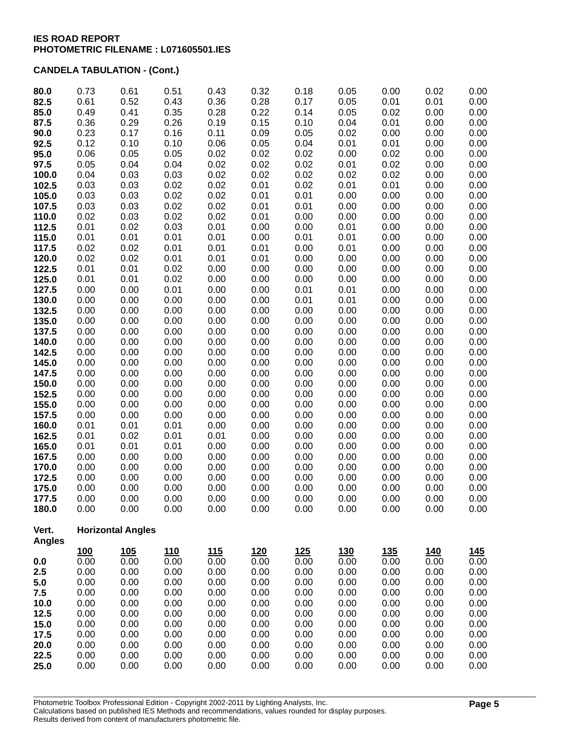| 80.0           | 0.73         | 0.61                     | 0.51         | 0.43         | 0.32         | 0.18         | 0.05         | 0.00         | 0.02         | 0.00         |
|----------------|--------------|--------------------------|--------------|--------------|--------------|--------------|--------------|--------------|--------------|--------------|
| 82.5           | 0.61         | 0.52                     | 0.43         | 0.36         | 0.28         | 0.17         | 0.05         | 0.01         | 0.01         | 0.00         |
| 85.0           | 0.49         | 0.41                     | 0.35         | 0.28         | 0.22         | 0.14         | 0.05         | 0.02         | 0.00         | 0.00         |
| 87.5           | 0.36         | 0.29                     | 0.26         | 0.19         | 0.15         | 0.10         | 0.04         | 0.01         | 0.00         | 0.00         |
| 90.0           | 0.23         | 0.17                     | 0.16         | 0.11         | 0.09         | 0.05         | 0.02         | 0.00         | 0.00         | 0.00         |
| 92.5           | 0.12         | 0.10                     | 0.10         | 0.06         | 0.05         | 0.04         | 0.01         | 0.01         | 0.00         | 0.00         |
| 95.0           | 0.06<br>0.05 | 0.05<br>0.04             | 0.05<br>0.04 | 0.02<br>0.02 | 0.02<br>0.02 | 0.02<br>0.02 | 0.00<br>0.01 | 0.02<br>0.02 | 0.00<br>0.00 | 0.00<br>0.00 |
| 97.5<br>100.0  | 0.04         | 0.03                     | 0.03         | 0.02         | 0.02         | 0.02         | 0.02         | 0.02         | 0.00         | 0.00         |
| 102.5          | 0.03         | 0.03                     | 0.02         | 0.02         | 0.01         | 0.02         | 0.01         | 0.01         | 0.00         | 0.00         |
| 105.0          | 0.03         | 0.03                     | 0.02         | 0.02         | 0.01         | 0.01         | 0.00         | 0.00         | 0.00         | 0.00         |
| 107.5          | 0.03         | 0.03                     | 0.02         | 0.02         | 0.01         | 0.01         | 0.00         | 0.00         | 0.00         | 0.00         |
| 110.0          | 0.02         | 0.03                     | 0.02         | 0.02         | 0.01         | 0.00         | 0.00         | 0.00         | 0.00         | 0.00         |
| 112.5          | 0.01         | 0.02                     | 0.03         | 0.01         | 0.00         | 0.00         | 0.01         | 0.00         | 0.00         | 0.00         |
| 115.0          | 0.01         | 0.01                     | 0.01         | 0.01         | 0.00         | 0.01         | 0.01         | 0.00         | 0.00         | 0.00         |
| 117.5          | 0.02         | 0.02                     | 0.01         | 0.01         | 0.01         | 0.00         | 0.01         | 0.00         | 0.00         | 0.00         |
| 120.0          | 0.02         | 0.02                     | 0.01         | 0.01         | 0.01         | 0.00         | 0.00         | 0.00         | 0.00         | 0.00         |
| 122.5          | 0.01         | 0.01                     | 0.02         | 0.00         | 0.00         | 0.00         | 0.00         | 0.00         | 0.00         | 0.00         |
| 125.0          | 0.01         | 0.01                     | 0.02         | 0.00         | 0.00         | 0.00         | 0.00         | 0.00         | 0.00         | 0.00         |
| 127.5          | 0.00         | 0.00                     | 0.01         | 0.00         | 0.00         | 0.01         | 0.01         | 0.00         | 0.00         | 0.00         |
| 130.0          | 0.00         | 0.00                     | 0.00         | 0.00         | 0.00         | 0.01         | 0.01         | 0.00         | 0.00         | 0.00         |
| 132.5          | 0.00         | 0.00                     | 0.00         | 0.00         | 0.00         | 0.00         | 0.00         | 0.00         | 0.00         | 0.00         |
| 135.0          | 0.00         | 0.00                     | 0.00         | 0.00         | 0.00         | 0.00         | 0.00         | 0.00         | 0.00         | 0.00         |
| 137.5          | 0.00         | 0.00                     | 0.00         | 0.00         | 0.00         | 0.00         | 0.00         | 0.00         | 0.00         | 0.00         |
| 140.0<br>142.5 | 0.00<br>0.00 | 0.00<br>0.00             | 0.00<br>0.00 | 0.00<br>0.00 | 0.00<br>0.00 | 0.00<br>0.00 | 0.00<br>0.00 | 0.00<br>0.00 | 0.00<br>0.00 | 0.00         |
| 145.0          | 0.00         | 0.00                     | 0.00         | 0.00         | 0.00         | 0.00         | 0.00         | 0.00         | 0.00         | 0.00<br>0.00 |
| 147.5          | 0.00         | 0.00                     | 0.00         | 0.00         | 0.00         | 0.00         | 0.00         | 0.00         | 0.00         | 0.00         |
| 150.0          | 0.00         | 0.00                     | 0.00         | 0.00         | 0.00         | 0.00         | 0.00         | 0.00         | 0.00         | 0.00         |
| 152.5          | 0.00         | 0.00                     | 0.00         | 0.00         | 0.00         | 0.00         | 0.00         | 0.00         | 0.00         | 0.00         |
| 155.0          | 0.00         | 0.00                     | 0.00         | 0.00         | 0.00         | 0.00         | 0.00         | 0.00         | 0.00         | 0.00         |
| 157.5          | 0.00         | 0.00                     | 0.00         | 0.00         | 0.00         | 0.00         | 0.00         | 0.00         | 0.00         | 0.00         |
| 160.0          | 0.01         | 0.01                     | 0.01         | 0.00         | 0.00         | 0.00         | 0.00         | 0.00         | 0.00         | 0.00         |
| 162.5          | 0.01         | 0.02                     | 0.01         | 0.01         | 0.00         | 0.00         | 0.00         | 0.00         | 0.00         | 0.00         |
| 165.0          | 0.01         | 0.01                     | 0.01         | 0.00         | 0.00         | 0.00         | 0.00         | 0.00         | 0.00         | 0.00         |
| 167.5          | 0.00         | 0.00                     | 0.00         | 0.00         | 0.00         | 0.00         | 0.00         | 0.00         | 0.00         | 0.00         |
| 170.0          | 0.00         | 0.00                     | 0.00         | 0.00         | 0.00         | 0.00         | 0.00         | 0.00         | 0.00         | 0.00         |
| 172.5          | 0.00         | 0.00                     | 0.00         | 0.00         | 0.00         | 0.00         | 0.00         | 0.00         | 0.00         | 0.00         |
| 175.0          | 0.00         | 0.00                     | 0.00         | 0.00         | 0.00         | 0.00         | 0.00         | 0.00         | 0.00         | 0.00         |
| 177.5          | 0.00         | 0.00                     | 0.00         | 0.00         | 0.00         | 0.00         | 0.00         | 0.00         | 0.00         | 0.00         |
| 180.0          | 0.00         | 0.00                     | 0.00         | 0.00         | 0.00         | 0.00         | 0.00         | 0.00         | 0.00         | 0.00         |
| Vert.          |              | <b>Horizontal Angles</b> |              |              |              |              |              |              |              |              |
| <b>Angles</b>  |              |                          |              |              |              |              |              |              |              |              |
|                | <u>100</u>   | 105                      | <u>110</u>   | 115          | <u>120</u>   | <u>125</u>   | <u>130</u>   | <u>135</u>   | <u>140</u>   | <u> 145</u>  |
| 0.0            | 0.00         | 0.00                     | 0.00         | 0.00         | 0.00         | 0.00         | 0.00         | 0.00         | 0.00         | 0.00         |
| 2.5            | 0.00         | 0.00                     | 0.00         | 0.00         | 0.00         | 0.00         | 0.00         | 0.00         | 0.00         | 0.00         |
| 5.0            | 0.00         | 0.00                     | 0.00         | 0.00         | 0.00         | 0.00         | 0.00         | 0.00         | 0.00         | 0.00         |
| 7.5            | 0.00         | 0.00                     | 0.00         | 0.00         | 0.00         | 0.00         | 0.00         | 0.00         | 0.00         | 0.00         |
| 10.0           | 0.00         | 0.00                     | 0.00         | 0.00         | 0.00         | 0.00         | 0.00         | 0.00         | 0.00         | 0.00         |
| 12.5<br>15.0   | 0.00<br>0.00 | 0.00<br>0.00             | 0.00<br>0.00 | 0.00<br>0.00 | 0.00<br>0.00 | 0.00<br>0.00 | 0.00<br>0.00 | 0.00<br>0.00 | 0.00<br>0.00 | 0.00<br>0.00 |
| 17.5           | 0.00         | 0.00                     | 0.00         | 0.00         | 0.00         | 0.00         | 0.00         | 0.00         | 0.00         | 0.00         |
| 20.0           | 0.00         | 0.00                     | 0.00         | 0.00         | 0.00         | 0.00         | 0.00         | 0.00         | 0.00         | 0.00         |
| 22.5           | 0.00         | 0.00                     | 0.00         | 0.00         | 0.00         | 0.00         | 0.00         | 0.00         | 0.00         | 0.00         |
| 25.0           | 0.00         | 0.00                     | 0.00         | 0.00         | 0.00         | 0.00         | 0.00         | 0.00         | 0.00         | 0.00         |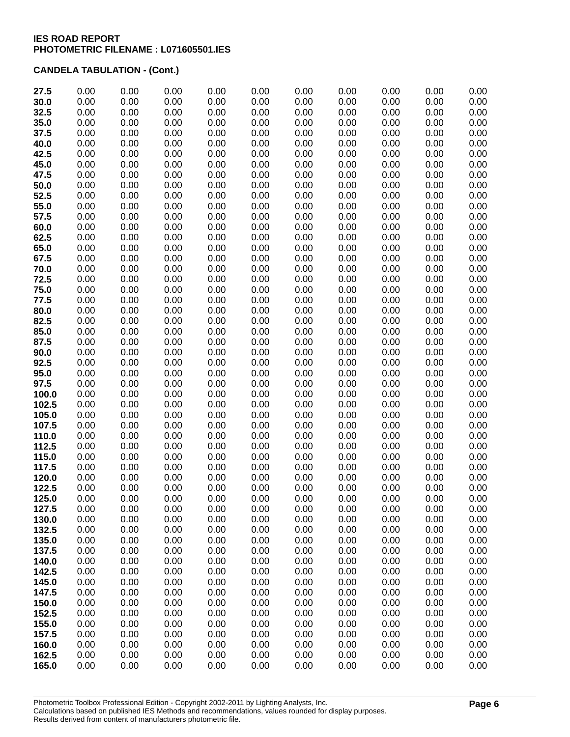| 27.5           | 0.00         | 0.00         | 0.00         | 0.00         | 0.00         | 0.00         | 0.00         | 0.00         | 0.00         | 0.00         |
|----------------|--------------|--------------|--------------|--------------|--------------|--------------|--------------|--------------|--------------|--------------|
| 30.0           | 0.00         | 0.00         | 0.00         | 0.00         | 0.00         | 0.00         | 0.00         | 0.00         | 0.00         | 0.00         |
| 32.5           | 0.00         | 0.00         | 0.00         | 0.00         | 0.00         | 0.00         | 0.00         | 0.00         | 0.00         | 0.00         |
| 35.0           | 0.00         | 0.00         | 0.00         | 0.00         | 0.00         | 0.00         | 0.00         | 0.00         | 0.00         | 0.00         |
| 37.5           | 0.00         | 0.00         | 0.00         | 0.00         | 0.00         | 0.00         | 0.00         | 0.00         | 0.00         | 0.00         |
| 40.0           | 0.00         | 0.00         | 0.00         | 0.00         | 0.00         | 0.00         | 0.00         | 0.00         | 0.00         | 0.00         |
| 42.5           | 0.00         | 0.00         | 0.00         | 0.00         | 0.00         | 0.00         | 0.00         | 0.00         | 0.00         | 0.00         |
| 45.0           | 0.00         | 0.00         | 0.00         | 0.00         | 0.00         | 0.00         | 0.00         | 0.00         | 0.00         | 0.00         |
| 47.5           | 0.00         | 0.00         | 0.00         | 0.00         | 0.00         | 0.00         | 0.00         | 0.00         | 0.00         | 0.00         |
| 50.0           | 0.00         | 0.00         | 0.00         | 0.00         | 0.00         | 0.00         | 0.00         | 0.00         | 0.00         | 0.00         |
| 52.5           | 0.00         | 0.00         | 0.00         | 0.00         | 0.00         | 0.00         | 0.00         | 0.00         | 0.00         | 0.00         |
| 55.0           | 0.00         | 0.00         | 0.00         | 0.00         | 0.00         | 0.00         | 0.00         | 0.00         | 0.00         | 0.00         |
| 57.5           | 0.00         | 0.00         | 0.00         | 0.00         | 0.00         | 0.00         | 0.00         | 0.00         | 0.00         | 0.00         |
| 60.0           | 0.00         | 0.00         | 0.00         | 0.00         | 0.00         | 0.00         | 0.00         | 0.00         | 0.00         | 0.00         |
| 62.5           | 0.00         | 0.00         | 0.00         | 0.00         | 0.00         | 0.00         | 0.00         | 0.00         | 0.00         | 0.00         |
| 65.0           | 0.00         | 0.00         | 0.00         | 0.00         | 0.00         | 0.00         | 0.00         | 0.00         | 0.00         | 0.00         |
| 67.5           | 0.00         | 0.00         | 0.00         | 0.00         | 0.00         | 0.00         | 0.00         | 0.00         | 0.00         | 0.00         |
| 70.0           | 0.00         | 0.00         | 0.00         | 0.00         | 0.00         | 0.00         | 0.00         | 0.00         | 0.00         | 0.00         |
| 72.5           | 0.00         | 0.00         | 0.00         | 0.00         | 0.00         | 0.00         | 0.00         | 0.00         | 0.00         | 0.00         |
| 75.0<br>77.5   | 0.00<br>0.00 | 0.00<br>0.00 | 0.00<br>0.00 | 0.00<br>0.00 | 0.00<br>0.00 | 0.00<br>0.00 | 0.00<br>0.00 | 0.00<br>0.00 | 0.00<br>0.00 | 0.00<br>0.00 |
| 80.0           | 0.00         | 0.00         | 0.00         | 0.00         | 0.00         | 0.00         | 0.00         | 0.00         | 0.00         | 0.00         |
| 82.5           | 0.00         | 0.00         | 0.00         | 0.00         | 0.00         | 0.00         | 0.00         | 0.00         | 0.00         | 0.00         |
| 85.0           | 0.00         | 0.00         | 0.00         | 0.00         | 0.00         | 0.00         | 0.00         | 0.00         | 0.00         | 0.00         |
| 87.5           | 0.00         | 0.00         | 0.00         | 0.00         | 0.00         | 0.00         | 0.00         | 0.00         | 0.00         | 0.00         |
| 90.0           | 0.00         | 0.00         | 0.00         | 0.00         | 0.00         | 0.00         | 0.00         | 0.00         | 0.00         | 0.00         |
| 92.5           | 0.00         | 0.00         | 0.00         | 0.00         | 0.00         | 0.00         | 0.00         | 0.00         | 0.00         | 0.00         |
| 95.0           | 0.00         | 0.00         | 0.00         | 0.00         | 0.00         | 0.00         | 0.00         | 0.00         | 0.00         | 0.00         |
| 97.5           | 0.00         | 0.00         | 0.00         | 0.00         | 0.00         | 0.00         | 0.00         | 0.00         | 0.00         | 0.00         |
| 100.0          | 0.00         | 0.00         | 0.00         | 0.00         | 0.00         | 0.00         | 0.00         | 0.00         | 0.00         | 0.00         |
| 102.5          | 0.00         | 0.00         | 0.00         | 0.00         | 0.00         | 0.00         | 0.00         | 0.00         | 0.00         | 0.00         |
| 105.0          | 0.00         | 0.00         | 0.00         | 0.00         | 0.00         | 0.00         | 0.00         | 0.00         | 0.00         | 0.00         |
| 107.5          | 0.00         | 0.00         | 0.00         | 0.00         | 0.00         | 0.00         | 0.00         | 0.00         | 0.00         | 0.00         |
| 110.0          | 0.00         | 0.00         | 0.00         | 0.00         | 0.00         | 0.00         | 0.00         | 0.00         | 0.00         | 0.00         |
| 112.5          | 0.00         | 0.00         | 0.00         | 0.00         | 0.00         | 0.00         | 0.00         | 0.00         | 0.00         | 0.00         |
| 115.0          | 0.00         | 0.00         | 0.00         | 0.00         | 0.00         | 0.00         | 0.00         | 0.00         | 0.00         | 0.00         |
| 117.5          | 0.00         | 0.00         | 0.00         | 0.00         | 0.00         | 0.00         | 0.00         | 0.00         | 0.00         | 0.00         |
| 120.0          | 0.00         | 0.00         | 0.00         | 0.00         | 0.00         | 0.00         | 0.00         | 0.00         | 0.00         | 0.00         |
| 122.5          | 0.00         | 0.00         | 0.00         | 0.00         | 0.00         | 0.00         | 0.00         | 0.00         | 0.00         | 0.00         |
| 125.0          | 0.00         | 0.00         | 0.00         | 0.00         | 0.00         | 0.00         | 0.00         | 0.00         | 0.00         | 0.00         |
| 127.5          | 0.00         | 0.00         | 0.00         | 0.00         | 0.00         | 0.00         | 0.00         | 0.00         | 0.00         | 0.00         |
| 130.0          | 0.00         | 0.00         | 0.00         | 0.00         | 0.00         | 0.00         | 0.00         | 0.00         | 0.00         | 0.00         |
| 132.5          | 0.00         | 0.00         | 0.00         | 0.00         | 0.00         | 0.00         | 0.00         | 0.00         | 0.00         | 0.00         |
| 135.0          | 0.00         | 0.00         | 0.00         | 0.00         | 0.00         | 0.00         | 0.00         | 0.00         | 0.00         | 0.00         |
| 137.5          | 0.00         | 0.00<br>0.00 | 0.00         | 0.00<br>0.00 | 0.00<br>0.00 | 0.00<br>0.00 | 0.00<br>0.00 | 0.00<br>0.00 | 0.00<br>0.00 | 0.00<br>0.00 |
| 140.0<br>142.5 | 0.00<br>0.00 | 0.00         | 0.00<br>0.00 | 0.00         | 0.00         | 0.00         | 0.00         | 0.00         | 0.00         | 0.00         |
| 145.0          | 0.00         | 0.00         | 0.00         | 0.00         | 0.00         | 0.00         | 0.00         | 0.00         | 0.00         | 0.00         |
| 147.5          | 0.00         | 0.00         | 0.00         | 0.00         | 0.00         | 0.00         | 0.00         | 0.00         | 0.00         | 0.00         |
| 150.0          | 0.00         | 0.00         | 0.00         | 0.00         | 0.00         | 0.00         | 0.00         | 0.00         | 0.00         | 0.00         |
| 152.5          | 0.00         | 0.00         | 0.00         | 0.00         | 0.00         | 0.00         | 0.00         | 0.00         | 0.00         | 0.00         |
| 155.0          | 0.00         | 0.00         | 0.00         | 0.00         | 0.00         | 0.00         | 0.00         | 0.00         | 0.00         | 0.00         |
| 157.5          | 0.00         | 0.00         | 0.00         | 0.00         | 0.00         | 0.00         | 0.00         | 0.00         | 0.00         | 0.00         |
| 160.0          | 0.00         | 0.00         | 0.00         | 0.00         | 0.00         | 0.00         | 0.00         | 0.00         | 0.00         | 0.00         |
| 162.5          | 0.00         | 0.00         | 0.00         | 0.00         | 0.00         | 0.00         | 0.00         | 0.00         | 0.00         | 0.00         |
| 165.0          | 0.00         | 0.00         | 0.00         | 0.00         | 0.00         | 0.00         | 0.00         | 0.00         | 0.00         | 0.00         |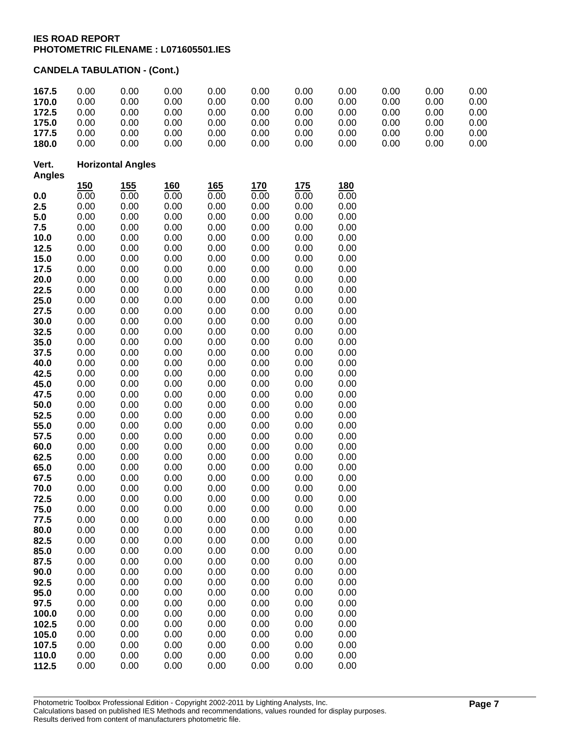| 167.5<br>170.0         | 0.00<br>0.00             | 0.00<br>0.00 | 0.00<br>0.00 | 0.00<br>0.00 | 0.00<br>0.00 | 0.00<br>0.00 | 0.00<br>0.00 | 0.00<br>0.00 | 0.00<br>0.00 | 0.00<br>0.00 |
|------------------------|--------------------------|--------------|--------------|--------------|--------------|--------------|--------------|--------------|--------------|--------------|
| 172.5                  | 0.00                     | 0.00         | 0.00         | 0.00         | 0.00         | 0.00         | 0.00         | 0.00         | 0.00         | 0.00         |
| 175.0                  | 0.00                     | 0.00         | 0.00         | 0.00         | 0.00         | 0.00         | 0.00         | 0.00         | 0.00         | 0.00         |
| 177.5                  | 0.00                     | 0.00         | 0.00         | 0.00         | 0.00         | 0.00         | 0.00         | 0.00         | 0.00         | 0.00         |
| 180.0                  | 0.00                     | 0.00         | 0.00         | 0.00         | 0.00         | 0.00         | 0.00         | 0.00         | 0.00         | 0.00         |
| Vert.<br><b>Angles</b> | <b>Horizontal Angles</b> |              |              |              |              |              |              |              |              |              |
|                        | <u>150</u>               | 155          | <b>160</b>   | <u>165</u>   | <b>170</b>   | 175          | 180          |              |              |              |
| 0.0                    | 0.00                     | 0.00         | 0.00         | 0.00         | 0.00         | 0.00         | 0.00         |              |              |              |
| 2.5                    | 0.00                     | 0.00         | 0.00         | 0.00         | 0.00         | 0.00         | 0.00         |              |              |              |
| 5.0                    | 0.00                     | 0.00         | 0.00         | 0.00         | 0.00         | 0.00         | 0.00         |              |              |              |
| 7.5                    | 0.00<br>0.00             | 0.00<br>0.00 | 0.00<br>0.00 | 0.00<br>0.00 | 0.00<br>0.00 | 0.00<br>0.00 | 0.00<br>0.00 |              |              |              |
| 10.0<br>12.5           | 0.00                     | 0.00         | 0.00         | 0.00         | 0.00         | 0.00         | 0.00         |              |              |              |
| 15.0                   | 0.00                     | 0.00         | 0.00         | 0.00         | 0.00         | 0.00         | 0.00         |              |              |              |
| 17.5                   | 0.00                     | 0.00         | 0.00         | 0.00         | 0.00         | 0.00         | 0.00         |              |              |              |
| 20.0                   | 0.00                     | 0.00         | 0.00         | 0.00         | 0.00         | 0.00         | 0.00         |              |              |              |
| 22.5                   | 0.00                     | 0.00         | 0.00         | 0.00         | 0.00         | 0.00         | 0.00         |              |              |              |
| 25.0                   | 0.00                     | 0.00         | 0.00         | 0.00         | 0.00         | 0.00         | 0.00         |              |              |              |
| 27.5                   | 0.00                     | 0.00         | 0.00         | 0.00         | 0.00         | 0.00         | 0.00         |              |              |              |
| 30.0                   | 0.00                     | 0.00         | 0.00         | 0.00         | 0.00         | 0.00         | 0.00         |              |              |              |
| 32.5                   | 0.00                     | 0.00         | 0.00         | 0.00         | 0.00         | 0.00         | 0.00         |              |              |              |
| 35.0                   | 0.00                     | 0.00         | 0.00         | 0.00         | 0.00         | 0.00         | 0.00         |              |              |              |
| 37.5                   | 0.00                     | 0.00         | 0.00         | 0.00         | 0.00         | 0.00         | 0.00         |              |              |              |
| 40.0                   | 0.00                     | 0.00         | 0.00         | 0.00         | 0.00         | 0.00         | 0.00         |              |              |              |
| 42.5                   | 0.00                     | 0.00         | 0.00         | 0.00         | 0.00         | 0.00         | 0.00         |              |              |              |
| 45.0                   | 0.00                     | 0.00         | 0.00         | 0.00         | 0.00         | 0.00         | 0.00         |              |              |              |
| 47.5                   | 0.00                     | 0.00         | 0.00         | 0.00         | 0.00         | 0.00         | 0.00         |              |              |              |
| 50.0                   | 0.00                     | 0.00         | 0.00         | 0.00         | 0.00         | 0.00         | 0.00         |              |              |              |
| 52.5                   | 0.00                     | 0.00         | 0.00         | 0.00         | 0.00         | 0.00         | 0.00         |              |              |              |
| 55.0                   | 0.00                     | 0.00         | 0.00         | 0.00         | 0.00         | 0.00         | 0.00         |              |              |              |
| 57.5<br>60.0           | 0.00<br>0.00             | 0.00<br>0.00 | 0.00<br>0.00 | 0.00<br>0.00 | 0.00<br>0.00 | 0.00<br>0.00 | 0.00<br>0.00 |              |              |              |
| 62.5                   | 0.00                     | 0.00         | 0.00         | 0.00         | 0.00         | 0.00         | 0.00         |              |              |              |
| 65.0                   | 0.00                     | 0.00         | 0.00         | 0.00         | 0.00         | 0.00         | 0.00         |              |              |              |
| 67.5                   | 0.00                     | 0.00         | 0.00         | 0.00         | 0.00         | 0.00         | 0.00         |              |              |              |
| 70.0                   | 0.00                     | 0.00         | 0.00         | 0.00         | 0.00         | 0.00         | 0.00         |              |              |              |
| 72.5                   | 0.00                     | 0.00         | 0.00         | 0.00         | 0.00         | 0.00         | 0.00         |              |              |              |
| 75.0                   | 0.00                     | 0.00         | 0.00         | 0.00         | 0.00         | 0.00         | 0.00         |              |              |              |
| 77.5                   | 0.00                     | 0.00         | 0.00         | 0.00         | 0.00         | 0.00         | 0.00         |              |              |              |
| 80.0                   | 0.00                     | 0.00         | 0.00         | 0.00         | 0.00         | 0.00         | 0.00         |              |              |              |
| 82.5                   | 0.00                     | 0.00         | 0.00         | 0.00         | 0.00         | 0.00         | 0.00         |              |              |              |
| 85.0                   | 0.00                     | 0.00         | 0.00         | 0.00         | 0.00         | 0.00         | 0.00         |              |              |              |
| 87.5                   | 0.00                     | 0.00         | 0.00         | 0.00         | 0.00         | 0.00         | 0.00         |              |              |              |
| 90.0                   | 0.00                     | 0.00         | 0.00         | 0.00         | 0.00         | 0.00         | 0.00         |              |              |              |
| 92.5                   | 0.00                     | 0.00         | 0.00         | 0.00         | 0.00         | 0.00         | 0.00         |              |              |              |
| 95.0<br>97.5           | 0.00<br>0.00             | 0.00<br>0.00 | 0.00<br>0.00 | 0.00<br>0.00 | 0.00<br>0.00 | 0.00<br>0.00 | 0.00<br>0.00 |              |              |              |
| 100.0                  | 0.00                     | 0.00         | 0.00         | 0.00         | 0.00         | 0.00         | 0.00         |              |              |              |
| 102.5                  | 0.00                     | 0.00         | 0.00         | 0.00         | 0.00         | 0.00         | 0.00         |              |              |              |
| 105.0                  | 0.00                     | 0.00         | 0.00         | 0.00         | 0.00         | 0.00         | 0.00         |              |              |              |
| 107.5                  | 0.00                     | 0.00         | 0.00         | 0.00         | 0.00         | 0.00         | 0.00         |              |              |              |
| 110.0                  | 0.00                     | 0.00         | 0.00         | 0.00         | 0.00         | 0.00         | 0.00         |              |              |              |
| 112.5                  | 0.00                     | 0.00         | 0.00         | 0.00         | 0.00         | 0.00         | 0.00         |              |              |              |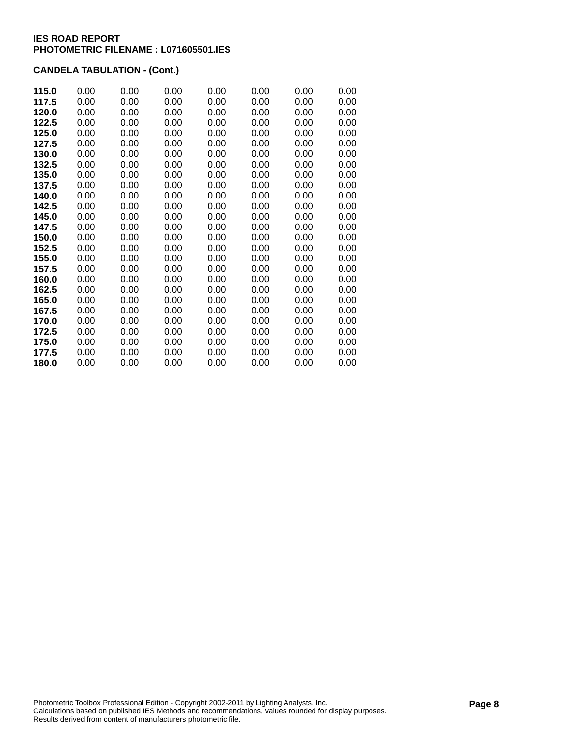| 115.0 | 0.00 | 0.00 | 0.00 | 0.00 | 0.00 | 0.00 | 0.00 |
|-------|------|------|------|------|------|------|------|
| 117.5 | 0.00 | 0.00 | 0.00 | 0.00 | 0.00 | 0.00 | 0.00 |
| 120.0 | 0.00 | 0.00 | 0.00 | 0.00 | 0.00 | 0.00 | 0.00 |
| 122.5 | 0.00 | 0.00 | 0.00 | 0.00 | 0.00 | 0.00 | 0.00 |
| 125.0 | 0.00 | 0.00 | 0.00 | 0.00 | 0.00 | 0.00 | 0.00 |
| 127.5 | 0.00 | 0.00 | 0.00 | 0.00 | 0.00 | 0.00 | 0.00 |
| 130.0 | 0.00 | 0.00 | 0.00 | 0.00 | 0.00 | 0.00 | 0.00 |
| 132.5 | 0.00 | 0.00 | 0.00 | 0.00 | 0.00 | 0.00 | 0.00 |
| 135.0 | 0.00 | 0.00 | 0.00 | 0.00 | 0.00 | 0.00 | 0.00 |
| 137.5 | 0.00 | 0.00 | 0.00 | 0.00 | 0.00 | 0.00 | 0.00 |
| 140.0 | 0.00 | 0.00 | 0.00 | 0.00 | 0.00 | 0.00 | 0.00 |
| 142.5 | 0.00 | 0.00 | 0.00 | 0.00 | 0.00 | 0.00 | 0.00 |
| 145.0 | 0.00 | 0.00 | 0.00 | 0.00 | 0.00 | 0.00 | 0.00 |
| 147.5 | 0.00 | 0.00 | 0.00 | 0.00 | 0.00 | 0.00 | 0.00 |
| 150.0 | 0.00 | 0.00 | 0.00 | 0.00 | 0.00 | 0.00 | 0.00 |
| 152.5 | 0.00 | 0.00 | 0.00 | 0.00 | 0.00 | 0.00 | 0.00 |
| 155.0 | 0.00 | 0.00 | 0.00 | 0.00 | 0.00 | 0.00 | 0.00 |
| 157.5 | 0.00 | 0.00 | 0.00 | 0.00 | 0.00 | 0.00 | 0.00 |
| 160.0 | 0.00 | 0.00 | 0.00 | 0.00 | 0.00 | 0.00 | 0.00 |
| 162.5 | 0.00 | 0.00 | 0.00 | 0.00 | 0.00 | 0.00 | 0.00 |
| 165.0 | 0.00 | 0.00 | 0.00 | 0.00 | 0.00 | 0.00 | 0.00 |
| 167.5 | 0.00 | 0.00 | 0.00 | 0.00 | 0.00 | 0.00 | 0.00 |
| 170.0 | 0.00 | 0.00 | 0.00 | 0.00 | 0.00 | 0.00 | 0.00 |
| 172.5 | 0.00 | 0.00 | 0.00 | 0.00 | 0.00 | 0.00 | 0.00 |
| 175.0 | 0.00 | 0.00 | 0.00 | 0.00 | 0.00 | 0.00 | 0.00 |
| 177.5 | 0.00 | 0.00 | 0.00 | 0.00 | 0.00 | 0.00 | 0.00 |
| 180.0 | 0.00 | 0.00 | 0.00 | 0.00 | 0.00 | 0.00 | 0.00 |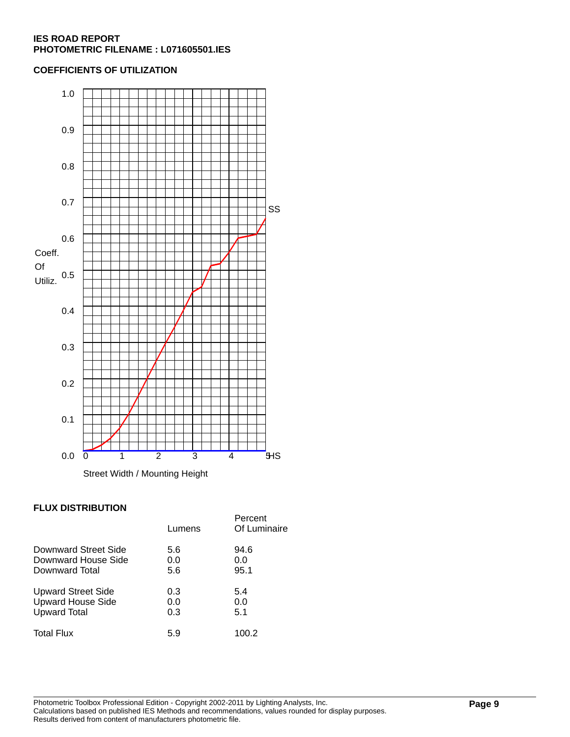### **COEFFICIENTS OF UTILIZATION**



### **FLUX DISTRIBUTION**

|                          | Lumens | Percent<br>Of Luminaire |
|--------------------------|--------|-------------------------|
| Downward Street Side     | 5.6    | 94.6                    |
| Downward House Side      | 0.0    | 0.0                     |
| Downward Total           | 5.6    | 95.1                    |
| Upward Street Side       | 0.3    | 5.4                     |
| <b>Upward House Side</b> | 0.0    | 0.0                     |
| <b>Upward Total</b>      | 0.3    | 5.1                     |
| <b>Total Flux</b>        | 5.9    | 100.2                   |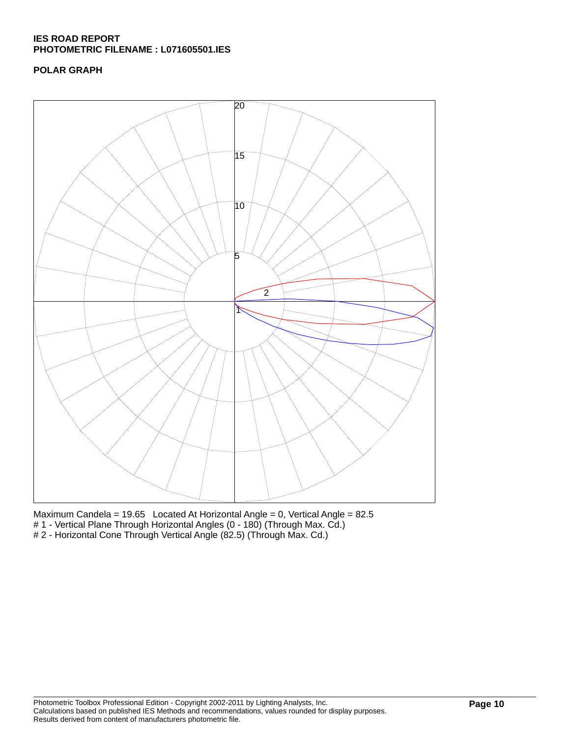# **POLAR GRAPH**



Maximum Candela = 19.65 Located At Horizontal Angle = 0, Vertical Angle = 82.5 # 1 - Vertical Plane Through Horizontal Angles (0 - 180) (Through Max. Cd.) # 2 - Horizontal Cone Through Vertical Angle (82.5) (Through Max. Cd.)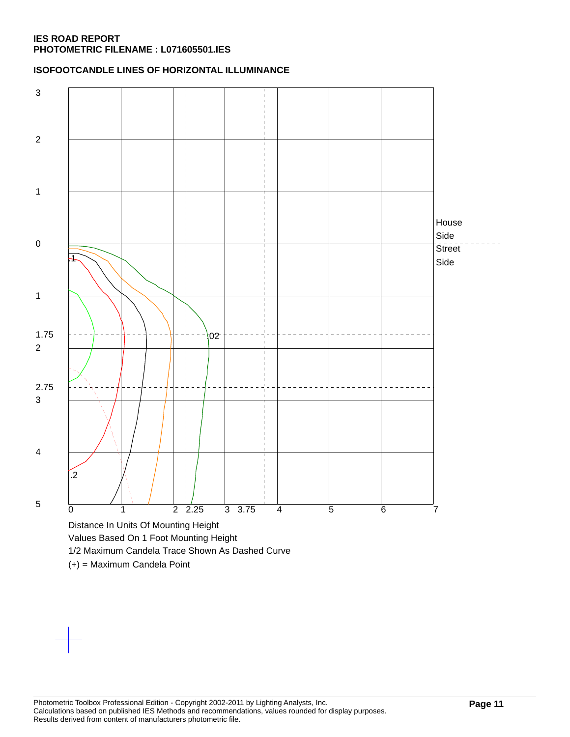### **ISOFOOTCANDLE LINES OF HORIZONTAL ILLUMINANCE**



(+) = Maximum Candela Point